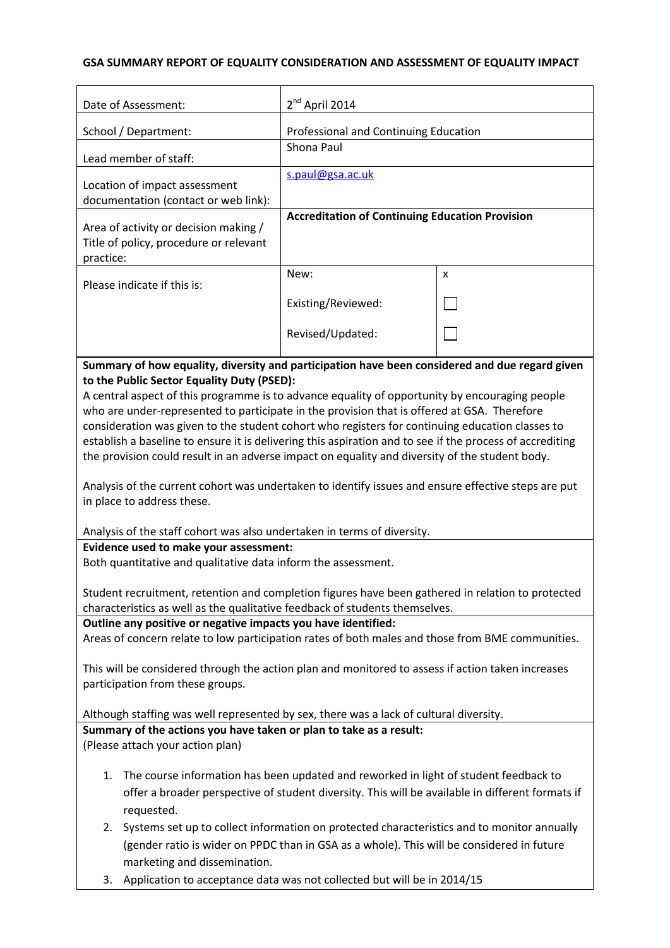## **GSA SUMMARY REPORT OF EQUALITY CONSIDERATION AND ASSESSMENT OF EQUALITY IMPACT**

| Date of Assessment:                                                                                                                                                                                                                                                                                                                                                                                                                                                                                                                                                                                                                                                                                                                                                                                                                                                                                                                                                                                                                                                                                                                                                                                                                                                                                                                                                                       | $2nd$ April 2014                                       |   |
|-------------------------------------------------------------------------------------------------------------------------------------------------------------------------------------------------------------------------------------------------------------------------------------------------------------------------------------------------------------------------------------------------------------------------------------------------------------------------------------------------------------------------------------------------------------------------------------------------------------------------------------------------------------------------------------------------------------------------------------------------------------------------------------------------------------------------------------------------------------------------------------------------------------------------------------------------------------------------------------------------------------------------------------------------------------------------------------------------------------------------------------------------------------------------------------------------------------------------------------------------------------------------------------------------------------------------------------------------------------------------------------------|--------------------------------------------------------|---|
| School / Department:                                                                                                                                                                                                                                                                                                                                                                                                                                                                                                                                                                                                                                                                                                                                                                                                                                                                                                                                                                                                                                                                                                                                                                                                                                                                                                                                                                      | Professional and Continuing Education                  |   |
| Lead member of staff:                                                                                                                                                                                                                                                                                                                                                                                                                                                                                                                                                                                                                                                                                                                                                                                                                                                                                                                                                                                                                                                                                                                                                                                                                                                                                                                                                                     | Shona Paul                                             |   |
| Location of impact assessment<br>documentation (contact or web link):                                                                                                                                                                                                                                                                                                                                                                                                                                                                                                                                                                                                                                                                                                                                                                                                                                                                                                                                                                                                                                                                                                                                                                                                                                                                                                                     | s.paul@gsa.ac.uk                                       |   |
| Area of activity or decision making /<br>Title of policy, procedure or relevant<br>practice:                                                                                                                                                                                                                                                                                                                                                                                                                                                                                                                                                                                                                                                                                                                                                                                                                                                                                                                                                                                                                                                                                                                                                                                                                                                                                              | <b>Accreditation of Continuing Education Provision</b> |   |
| Please indicate if this is:                                                                                                                                                                                                                                                                                                                                                                                                                                                                                                                                                                                                                                                                                                                                                                                                                                                                                                                                                                                                                                                                                                                                                                                                                                                                                                                                                               | New:                                                   | X |
|                                                                                                                                                                                                                                                                                                                                                                                                                                                                                                                                                                                                                                                                                                                                                                                                                                                                                                                                                                                                                                                                                                                                                                                                                                                                                                                                                                                           | Existing/Reviewed:                                     |   |
|                                                                                                                                                                                                                                                                                                                                                                                                                                                                                                                                                                                                                                                                                                                                                                                                                                                                                                                                                                                                                                                                                                                                                                                                                                                                                                                                                                                           | Revised/Updated:                                       |   |
| Summary of how equality, diversity and participation have been considered and due regard given                                                                                                                                                                                                                                                                                                                                                                                                                                                                                                                                                                                                                                                                                                                                                                                                                                                                                                                                                                                                                                                                                                                                                                                                                                                                                            |                                                        |   |
| to the Public Sector Equality Duty (PSED):<br>A central aspect of this programme is to advance equality of opportunity by encouraging people<br>who are under-represented to participate in the provision that is offered at GSA. Therefore<br>consideration was given to the student cohort who registers for continuing education classes to<br>establish a baseline to ensure it is delivering this aspiration and to see if the process of accrediting<br>the provision could result in an adverse impact on equality and diversity of the student body.<br>Analysis of the current cohort was undertaken to identify issues and ensure effective steps are put<br>in place to address these.<br>Analysis of the staff cohort was also undertaken in terms of diversity.<br>Evidence used to make your assessment:<br>Both quantitative and qualitative data inform the assessment.<br>Student recruitment, retention and completion figures have been gathered in relation to protected<br>characteristics as well as the qualitative feedback of students themselves.<br>Outline any positive or negative impacts you have identified:<br>Areas of concern relate to low participation rates of both males and those from BME communities.<br>This will be considered through the action plan and monitored to assess if action taken increases<br>participation from these groups. |                                                        |   |
| Although staffing was well represented by sex, there was a lack of cultural diversity.                                                                                                                                                                                                                                                                                                                                                                                                                                                                                                                                                                                                                                                                                                                                                                                                                                                                                                                                                                                                                                                                                                                                                                                                                                                                                                    |                                                        |   |
| Summary of the actions you have taken or plan to take as a result:<br>(Please attach your action plan)                                                                                                                                                                                                                                                                                                                                                                                                                                                                                                                                                                                                                                                                                                                                                                                                                                                                                                                                                                                                                                                                                                                                                                                                                                                                                    |                                                        |   |
| The course information has been updated and reworked in light of student feedback to<br>1.<br>offer a broader perspective of student diversity. This will be available in different formats if<br>requested.                                                                                                                                                                                                                                                                                                                                                                                                                                                                                                                                                                                                                                                                                                                                                                                                                                                                                                                                                                                                                                                                                                                                                                              |                                                        |   |
| Systems set up to collect information on protected characteristics and to monitor annually<br>2.<br>(gender ratio is wider on PPDC than in GSA as a whole). This will be considered in future<br>marketing and dissemination.                                                                                                                                                                                                                                                                                                                                                                                                                                                                                                                                                                                                                                                                                                                                                                                                                                                                                                                                                                                                                                                                                                                                                             |                                                        |   |

3. Application to acceptance data was not collected but will be in 2014/15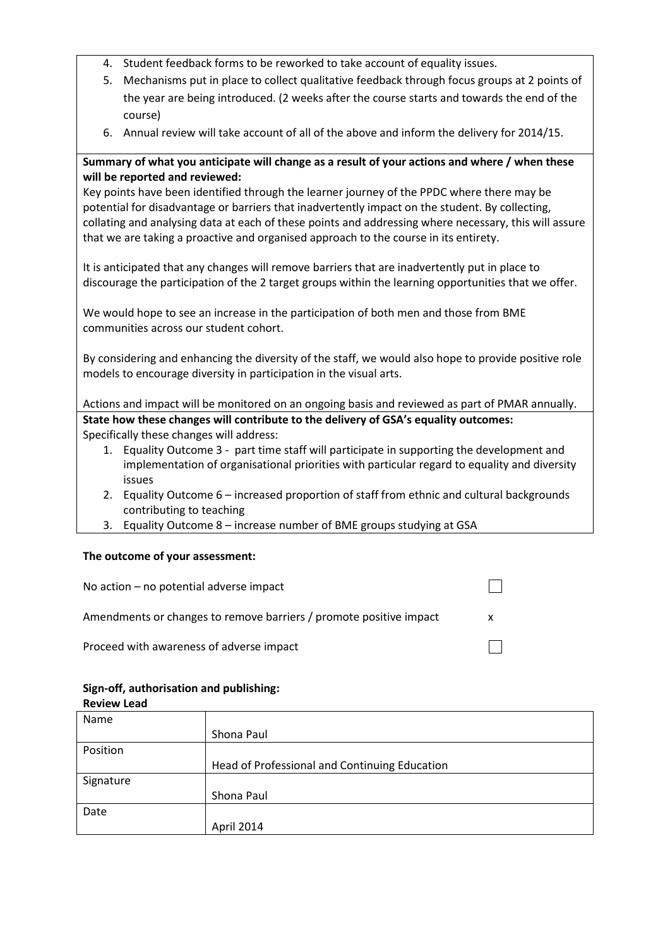- 4. Student feedback forms to be reworked to take account of equality issues.
- 5. Mechanisms put in place to collect qualitative feedback through focus groups at 2 points of the year are being introduced. (2 weeks after the course starts and towards the end of the course)
- 6. Annual review will take account of all of the above and inform the delivery for 2014/15.

## **Summary of what you anticipate will change as a result of your actions and where / when these will be reported and reviewed:**

Key points have been identified through the learner journey of the PPDC where there may be potential for disadvantage or barriers that inadvertently impact on the student. By collecting, collating and analysing data at each of these points and addressing where necessary, this will assure that we are taking a proactive and organised approach to the course in its entirety.

It is anticipated that any changes will remove barriers that are inadvertently put in place to discourage the participation of the 2 target groups within the learning opportunities that we offer.

We would hope to see an increase in the participation of both men and those from BME communities across our student cohort.

By considering and enhancing the diversity of the staff, we would also hope to provide positive role models to encourage diversity in participation in the visual arts.

Actions and impact will be monitored on an ongoing basis and reviewed as part of PMAR annually. **State how these changes will contribute to the delivery of GSA's equality outcomes:** Specifically these changes will address:

- 1. Equality Outcome 3 part time staff will participate in supporting the development and implementation of organisational priorities with particular regard to equality and diversity issues
- 2. Equality Outcome 6 increased proportion of staff from ethnic and cultural backgrounds contributing to teaching
- 3. Equality Outcome 8 increase number of BME groups studying at GSA

#### **The outcome of your assessment:**

| No action $-$ no potential adverse impact                          |  |
|--------------------------------------------------------------------|--|
| Amendments or changes to remove barriers / promote positive impact |  |
| Proceed with awareness of adverse impact                           |  |

#### **Sign-off, authorisation and publishing:**

| <b>Review Lead</b> |                                               |
|--------------------|-----------------------------------------------|
| Name               |                                               |
|                    | Shona Paul                                    |
| Position           |                                               |
|                    | Head of Professional and Continuing Education |
| Signature          |                                               |
|                    | Shona Paul                                    |
| Date               |                                               |
|                    | April 2014                                    |